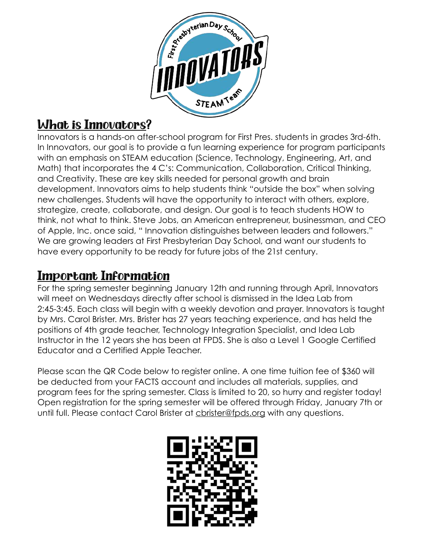

## What is Innovators?

Innovators is a hands-on after-school program for First Pres. students in grades 3rd-6th. In Innovators, our goal is to provide a fun learning experience for program participants with an emphasis on STEAM education (Science, Technology, Engineering, Art, and Math) that incorporates the 4 C's: Communication, Collaboration, Critical Thinking, and Creativity. These are key skills needed for personal growth and brain development. Innovators aims to help students think "outside the box" when solving new challenges. Students will have the opportunity to interact with others, explore, strategize, create, collaborate, and design. Our goal is to teach students HOW to think, not what to think. Steve Jobs, an American entrepreneur, businessman, and CEO of Apple, Inc. once said, " Innovation distinguishes between leaders and followers." We are growing leaders at First Presbyterian Day School, and want our students to have every opportunity to be ready for future jobs of the 21st century.

## Important Information

For the spring semester beginning January 12th and running through April, Innovators will meet on Wednesdays directly after school is dismissed in the Idea Lab from 2:45-3:45. Each class will begin with a weekly devotion and prayer. Innovators is taught by Mrs. Carol Brister. Mrs. Brister has 27 years teaching experience, and has held the positions of 4th grade teacher, Technology Integration Specialist, and Idea Lab Instructor in the 12 years she has been at FPDS. She is also a Level 1 Google Certified Educator and a Certified Apple Teacher.

Please scan the QR Code below to register online. A one time tuition fee of \$360 will be deducted from your FACTS account and includes all materials, supplies, and program fees for the spring semester. Class is limited to 20, so hurry and register today! Open registration for the spring semester will be offered through Friday, January 7th or until full. Please contact Carol Brister at [cbrister@fpds.org](mailto:cbrister@fpds.org) with any questions.